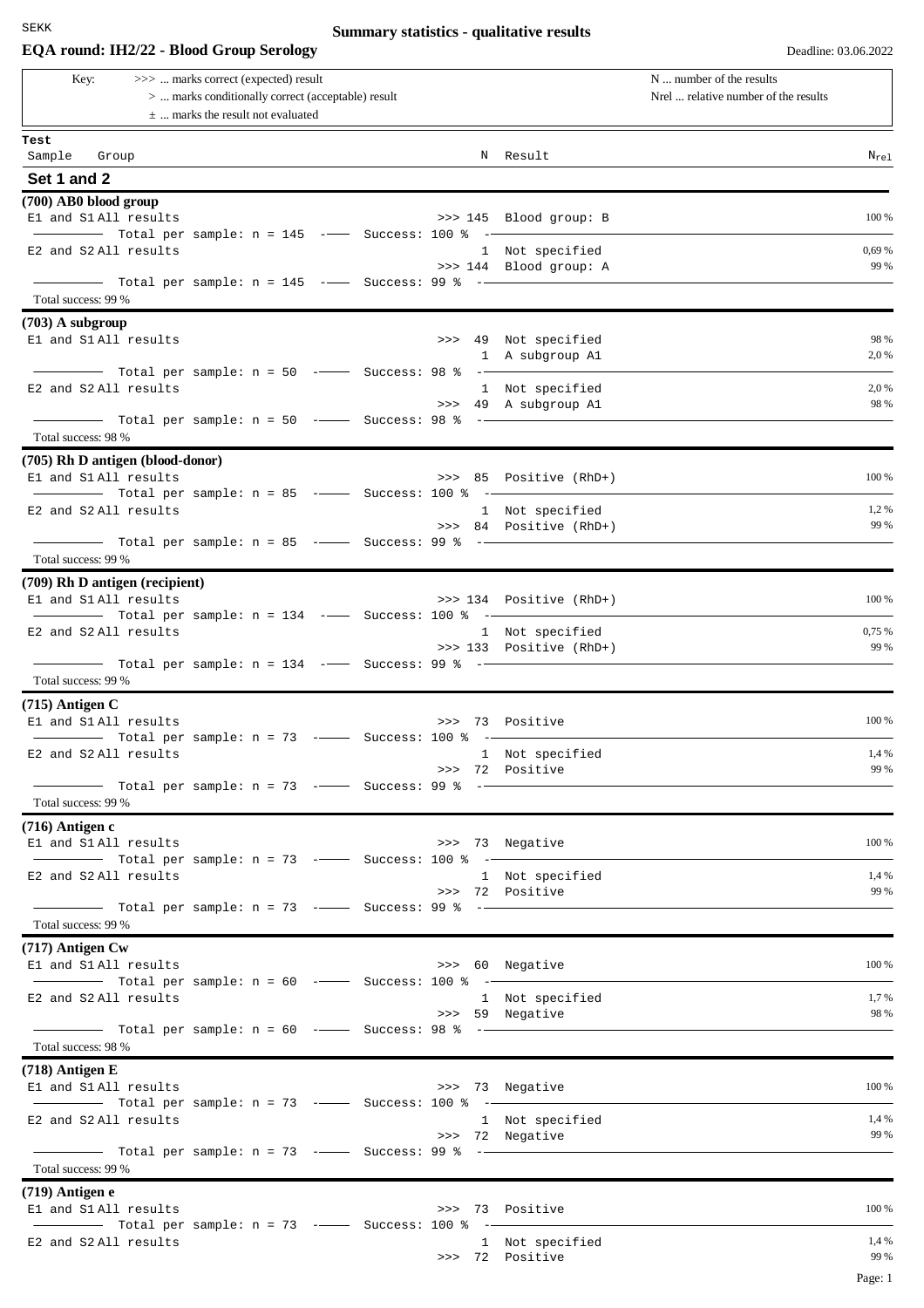# **EQA round: IH2/22 - Blood Group Serology** Deadline: 03.06.2022

# **Summary statistics - qualitative results**

Page: 1

| >>>  marks correct (expected) result<br>Key:<br>>  marks conditionally correct (acceptable) result<br>$\pm$ marks the result not evaluated | N  number of the results<br>Nrel  relative number of the results |
|--------------------------------------------------------------------------------------------------------------------------------------------|------------------------------------------------------------------|
| Test<br>Sample Group<br>N Result                                                                                                           | $N_{re1}$                                                        |
| Set 1 and 2                                                                                                                                |                                                                  |
| (700) AB0 blood group                                                                                                                      |                                                                  |
| El and S1 All results<br>>>> 145 Blood group: B                                                                                            | 100 %                                                            |
| Total per sample: $n = 145$ --- Success: 100 % --<br>E2 and S2 All results<br>1 Not specified                                              | 0,69 %                                                           |
| >>> 144 Blood group: A                                                                                                                     | 99 %                                                             |
| Total success: 99 %                                                                                                                        |                                                                  |
| $(703)$ A subgroup                                                                                                                         |                                                                  |
| E1 and S1 All results<br>>>> 49 Not specified                                                                                              | 98 %                                                             |
| 1 A subgroup A1                                                                                                                            | 2,0 %                                                            |
| Total per sample: $n = 50$ -- Success: 98 % -<br>E2 and S2 All results                                                                     | 2,0 %                                                            |
| 1 Not specified<br>>>> 49 A subgroup A1                                                                                                    | 98 %                                                             |
| Total per sample: $n = 50$ - Success: 98 % -                                                                                               |                                                                  |
| Total success: 98 %                                                                                                                        |                                                                  |
| (705) Rh D antigen (blood-donor)                                                                                                           |                                                                  |
| El and S1 All results<br>>>> 85 Positive (RhD+)                                                                                            | 100 %                                                            |
| Total per sample: $n = 85$ --- Success: 100 % --<br>E2 and S2 All results<br>1 Not specified                                               | 1,2%                                                             |
| >>> 84 Positive (RhD+)                                                                                                                     | 99 %                                                             |
|                                                                                                                                            |                                                                  |
| Total success: 99 %                                                                                                                        |                                                                  |
| (709) Rh D antigen (recipient)<br>E1 and S1 All results<br>>>> 134 Positive (RhD+)                                                         | 100 %                                                            |
| $-$ Total per sample: $n = 134$ $-$ Success: 100 % $-$                                                                                     |                                                                  |
| E2 and S2 All results<br>1 Not specified<br>>>> 133 Positive (RhD+)                                                                        | 0,75 %<br>99 %                                                   |
| Total success: 99 %                                                                                                                        |                                                                  |
| $(715)$ Antigen C                                                                                                                          |                                                                  |
| E1 and S1 All results<br>>>> 73 Positive                                                                                                   | 100 %                                                            |
| $\blacksquare$ Total per sample: n = 73 - $\blacksquare$ Success: 100 % - $\blacksquare$                                                   |                                                                  |
| E2 and S2 All results<br>1 Not specified<br>>>> 72 Positive                                                                                | 1,4 %<br>99 %                                                    |
| $\blacksquare$ Total per sample: n = 73 - $\blacksquare$ Success: 99 % - $\blacksquare$                                                    |                                                                  |
| Total success: 99 %                                                                                                                        |                                                                  |
| $(716)$ Antigen c                                                                                                                          |                                                                  |
| >>> 73 Negative<br>El and S1 All results<br>Total per sample: n = 73 -- Success: 100 % -                                                   | 100 %                                                            |
| E2 and S2 All results<br>1 Not specified                                                                                                   | 1,4 %                                                            |
| >>> 72 Positive                                                                                                                            | 99 %                                                             |
|                                                                                                                                            |                                                                  |
| Total success: 99 %                                                                                                                        |                                                                  |
| $(717)$ Antigen Cw                                                                                                                         | 100 %                                                            |
| E1 and S1 All results<br>>>> 60 Negative                                                                                                   |                                                                  |
| E2 and S2 All results<br>1 Not specified                                                                                                   | 1,7%                                                             |
| >>> 59 Negative                                                                                                                            | 98 %                                                             |
| Total success: 98 %                                                                                                                        |                                                                  |
| $(718)$ Antigen E                                                                                                                          |                                                                  |
| El and S1 All results<br>>>> 73 Negative                                                                                                   | 100 %                                                            |
| $\frac{1}{1}$ Total per sample: n = 73 --- Success: 100 % --                                                                               |                                                                  |
| E2 and S2 All results<br>1 Not specified                                                                                                   | 1,4 %<br>99 %                                                    |
| >>> 72 Negative                                                                                                                            |                                                                  |
| Total success: 99 %                                                                                                                        |                                                                  |
| $(719)$ Antigen e                                                                                                                          |                                                                  |
| E1 and S1 All results<br>>>> 73 Positive                                                                                                   | 100 %                                                            |
| $\frac{1}{1}$ Total per sample: n = 73 - Success: 100 % -                                                                                  | 1,4 %                                                            |
| E2 and S2 All results<br>1 Not specified<br>>>> 72 Positive                                                                                | 99 %                                                             |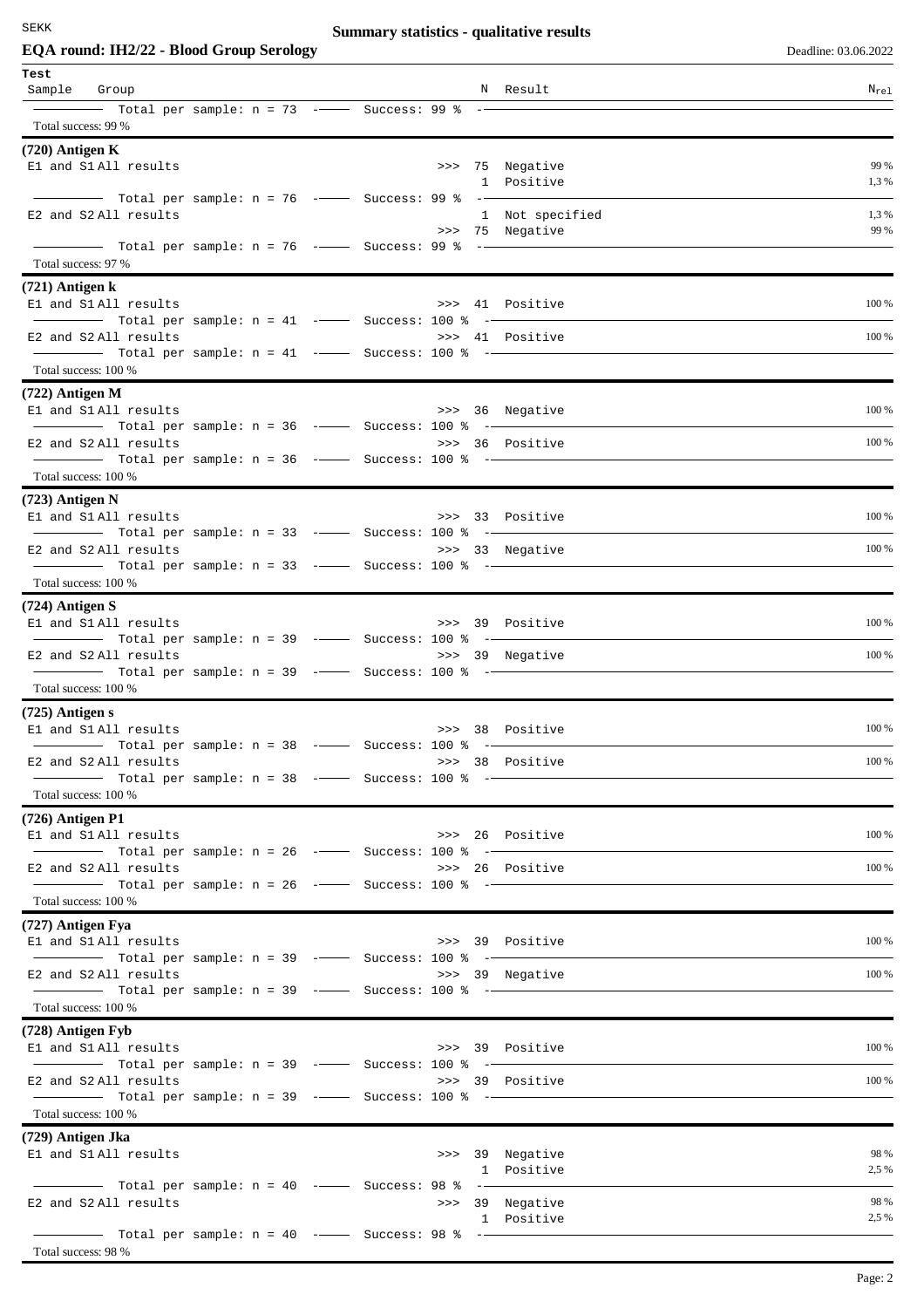# **Summary statistics - qualitative results**

| Deadline: 03.06.202 |  |  |
|---------------------|--|--|
|                     |  |  |
|                     |  |  |

| EQA round: IH2/22 - Blood Group Serology                                                                                                                                                                                                                                                                                                                                                                                                                                        |  |                               | Deadline: 03.06.2022 |
|---------------------------------------------------------------------------------------------------------------------------------------------------------------------------------------------------------------------------------------------------------------------------------------------------------------------------------------------------------------------------------------------------------------------------------------------------------------------------------|--|-------------------------------|----------------------|
| Test<br>Sample Group                                                                                                                                                                                                                                                                                                                                                                                                                                                            |  | N Result                      | $N_{\rm rel}$        |
| Total per sample: n = 73 -- Success: 99 % --                                                                                                                                                                                                                                                                                                                                                                                                                                    |  |                               |                      |
| Total success: 99 %                                                                                                                                                                                                                                                                                                                                                                                                                                                             |  |                               |                      |
| $(720)$ Antigen K                                                                                                                                                                                                                                                                                                                                                                                                                                                               |  |                               | 99 %                 |
| El and S1 All results                                                                                                                                                                                                                                                                                                                                                                                                                                                           |  | >>> 75 Negative<br>1 Positive | 1,3 %                |
|                                                                                                                                                                                                                                                                                                                                                                                                                                                                                 |  |                               |                      |
| E2 and S2 All results                                                                                                                                                                                                                                                                                                                                                                                                                                                           |  | 1 Not specified               | 1,3%                 |
|                                                                                                                                                                                                                                                                                                                                                                                                                                                                                 |  | >>> 75 Negative               | 99 %                 |
|                                                                                                                                                                                                                                                                                                                                                                                                                                                                                 |  |                               |                      |
| Total success: 97 %                                                                                                                                                                                                                                                                                                                                                                                                                                                             |  |                               |                      |
| $(721)$ Antigen k                                                                                                                                                                                                                                                                                                                                                                                                                                                               |  |                               |                      |
| E1 and S1 All results                                                                                                                                                                                                                                                                                                                                                                                                                                                           |  | >>> 41 Positive               | 100 %                |
| E2 and S2 All results                                                                                                                                                                                                                                                                                                                                                                                                                                                           |  | >>> 41 Positive               | 100 %                |
|                                                                                                                                                                                                                                                                                                                                                                                                                                                                                 |  |                               |                      |
| Total success: 100 %                                                                                                                                                                                                                                                                                                                                                                                                                                                            |  |                               |                      |
| $(722)$ Antigen M                                                                                                                                                                                                                                                                                                                                                                                                                                                               |  |                               |                      |
| El and S1 All results                                                                                                                                                                                                                                                                                                                                                                                                                                                           |  | >>> 36 Negative               | 100 %                |
|                                                                                                                                                                                                                                                                                                                                                                                                                                                                                 |  |                               |                      |
| E2 and S2 All results                                                                                                                                                                                                                                                                                                                                                                                                                                                           |  | >>> 36 Positive               | 100 %                |
| Total success: 100 %                                                                                                                                                                                                                                                                                                                                                                                                                                                            |  |                               |                      |
|                                                                                                                                                                                                                                                                                                                                                                                                                                                                                 |  |                               |                      |
| $(723)$ Antigen N<br>El and S1All results                                                                                                                                                                                                                                                                                                                                                                                                                                       |  | >>> 33 Positive               | 100 %                |
| Total per sample: n = 33 --- Success: 100 % --                                                                                                                                                                                                                                                                                                                                                                                                                                  |  |                               |                      |
| E2 and S2 All results                                                                                                                                                                                                                                                                                                                                                                                                                                                           |  | >>> 33 Negative               | 100 %                |
|                                                                                                                                                                                                                                                                                                                                                                                                                                                                                 |  |                               |                      |
| Total success: 100 %                                                                                                                                                                                                                                                                                                                                                                                                                                                            |  |                               |                      |
| $(724)$ Antigen S                                                                                                                                                                                                                                                                                                                                                                                                                                                               |  |                               |                      |
| El and S1 All results                                                                                                                                                                                                                                                                                                                                                                                                                                                           |  | >>> 39 Positive               | 100 %                |
| $\frac{1}{1}$ Total per sample: n = 39 - Success: 100 % -                                                                                                                                                                                                                                                                                                                                                                                                                       |  |                               | 100 %                |
| E2 and S2 All results<br>Total per sample: n = 39 -- Success: 100 % --                                                                                                                                                                                                                                                                                                                                                                                                          |  | >>> 39 Negative               |                      |
| Total success: 100 %                                                                                                                                                                                                                                                                                                                                                                                                                                                            |  |                               |                      |
| $(725)$ Antigen s                                                                                                                                                                                                                                                                                                                                                                                                                                                               |  |                               |                      |
| El and S1 All results                                                                                                                                                                                                                                                                                                                                                                                                                                                           |  | >>> 38 Positive               | 100 %                |
|                                                                                                                                                                                                                                                                                                                                                                                                                                                                                 |  |                               |                      |
| E2 and S2 All results                                                                                                                                                                                                                                                                                                                                                                                                                                                           |  | >>> 38 Positive               | 100 %                |
| Total per sample: n = 38 -- Success: 100 % -                                                                                                                                                                                                                                                                                                                                                                                                                                    |  |                               |                      |
| Total success: 100 %                                                                                                                                                                                                                                                                                                                                                                                                                                                            |  |                               |                      |
| $(726)$ Antigen P1                                                                                                                                                                                                                                                                                                                                                                                                                                                              |  |                               | 100 %                |
| E1 and S1 All results                                                                                                                                                                                                                                                                                                                                                                                                                                                           |  | >>> 26 Positive               |                      |
| E2 and S2 All results                                                                                                                                                                                                                                                                                                                                                                                                                                                           |  | >>> 26 Positive               | 100 %                |
| Total per sample: $n = 26$ ---- Success: 100 % --                                                                                                                                                                                                                                                                                                                                                                                                                               |  |                               |                      |
| Total success: 100 %                                                                                                                                                                                                                                                                                                                                                                                                                                                            |  |                               |                      |
| (727) Antigen Fya                                                                                                                                                                                                                                                                                                                                                                                                                                                               |  |                               |                      |
| El and S1 All results                                                                                                                                                                                                                                                                                                                                                                                                                                                           |  | >>> 39 Positive               | 100 %                |
|                                                                                                                                                                                                                                                                                                                                                                                                                                                                                 |  |                               |                      |
| E2 and S2 All results                                                                                                                                                                                                                                                                                                                                                                                                                                                           |  | >>> 39 Negative               | 100 %                |
| Total success: 100 %                                                                                                                                                                                                                                                                                                                                                                                                                                                            |  |                               |                      |
| (728) Antigen Fyb                                                                                                                                                                                                                                                                                                                                                                                                                                                               |  |                               |                      |
| El and S1 All results                                                                                                                                                                                                                                                                                                                                                                                                                                                           |  | >>> 39 Positive               | 100 %                |
| $\overline{\phantom{1}}$ $\overline{\phantom{1}}$ $\overline{\phantom{1}}$ $\overline{\phantom{1}}$ $\overline{\phantom{1}}$ $\overline{\phantom{1}}$ $\overline{\phantom{1}}$ $\overline{\phantom{1}}$ $\overline{\phantom{1}}$ $\overline{\phantom{1}}$ $\overline{\phantom{1}}$ $\overline{\phantom{1}}$ $\overline{\phantom{1}}$ $\overline{\phantom{1}}$ $\overline{\phantom{1}}$ $\overline{\phantom{1}}$ $\overline{\phantom{1}}$ $\overline{\phantom{1}}$ $\overline{\$ |  |                               |                      |
| E2 and S2 All results                                                                                                                                                                                                                                                                                                                                                                                                                                                           |  | >>> 39 Positive               | 100 %                |
| Total per sample: n = 39 -- Success: 100 % -                                                                                                                                                                                                                                                                                                                                                                                                                                    |  |                               |                      |
| Total success: 100 %                                                                                                                                                                                                                                                                                                                                                                                                                                                            |  |                               |                      |
| (729) Antigen Jka                                                                                                                                                                                                                                                                                                                                                                                                                                                               |  |                               |                      |
| E1 and S1 All results                                                                                                                                                                                                                                                                                                                                                                                                                                                           |  | >>> 39 Negative<br>1 Positive | 98 %<br>2,5 %        |
|                                                                                                                                                                                                                                                                                                                                                                                                                                                                                 |  |                               |                      |
| E2 and S2 All results                                                                                                                                                                                                                                                                                                                                                                                                                                                           |  | >>> 39 Negative               | 98 %                 |
|                                                                                                                                                                                                                                                                                                                                                                                                                                                                                 |  | 1 Positive                    | 2,5 %                |
|                                                                                                                                                                                                                                                                                                                                                                                                                                                                                 |  |                               |                      |
| Total success: 98 %                                                                                                                                                                                                                                                                                                                                                                                                                                                             |  |                               |                      |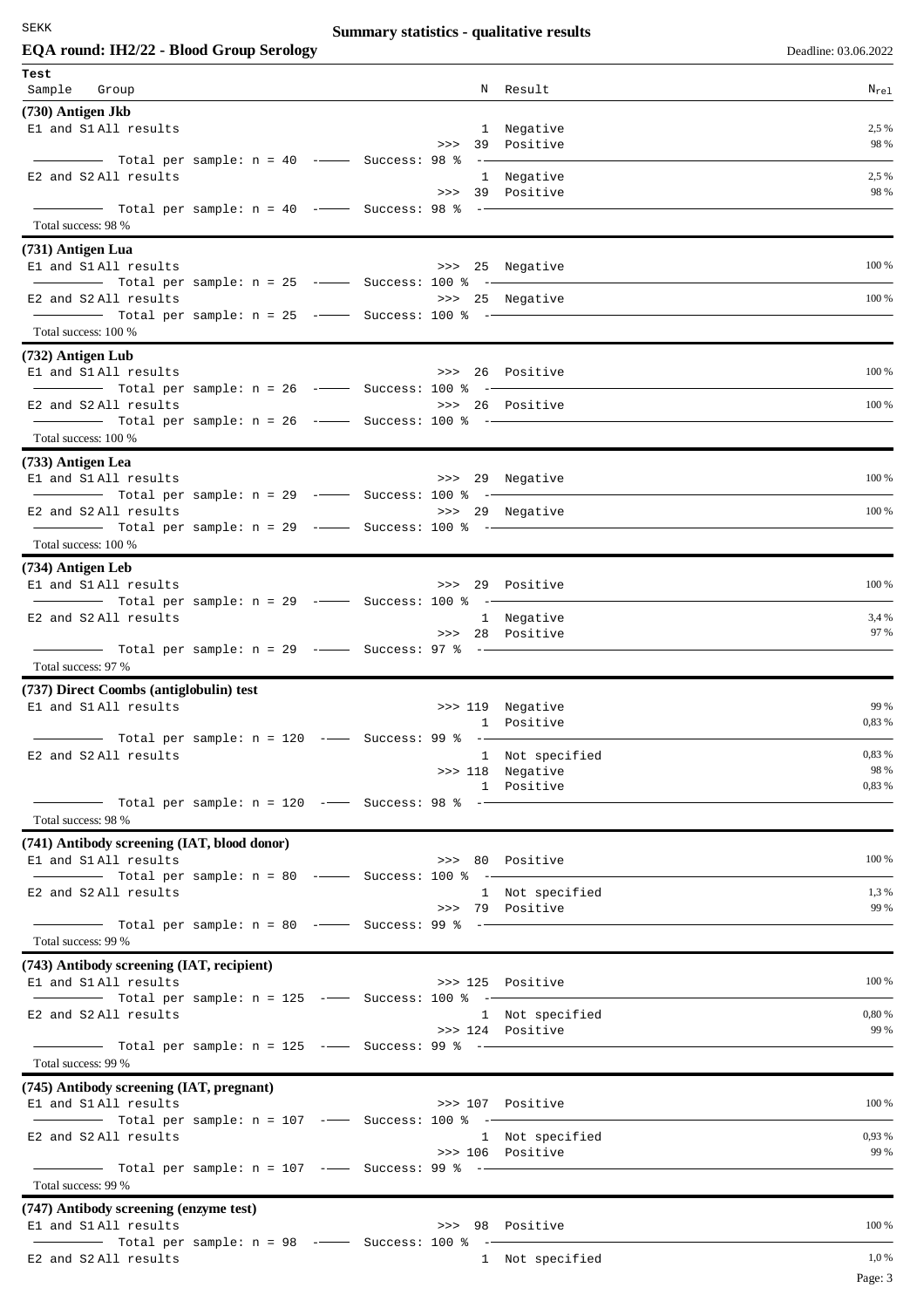# **Summary statistics - qualitative results**

| EQA round: IH2/22 - Blood Group Serology                                            |                                     | Deadline: 03.06.2022 |
|-------------------------------------------------------------------------------------|-------------------------------------|----------------------|
| Test                                                                                |                                     |                      |
| Sample Group                                                                        | N Result                            | $N_{re1}$            |
| (730) Antigen Jkb                                                                   |                                     |                      |
| El and S1 All results                                                               | 1 Negative                          | 2,5 %                |
|                                                                                     | >>> 39 Positive                     | 98 %                 |
| Total per sample: n = 40 -- Success: 98 % -                                         |                                     | 2,5 %                |
| E2 and S2 All results                                                               | 1 Negative<br>>>> 39 Positive       | 98 %                 |
|                                                                                     |                                     |                      |
| Total success: 98 %                                                                 |                                     |                      |
| (731) Antigen Lua                                                                   |                                     |                      |
| El and S1 All results                                                               | >>> 25 Negative                     | 100 %                |
|                                                                                     |                                     |                      |
| E2 and S2 All results                                                               | >>> 25 Negative                     | 100 %                |
| $\frac{1}{2}$ Total per sample: n = 25 - Success: 100 % -                           |                                     |                      |
| Total success: 100 %                                                                |                                     |                      |
| (732) Antigen Lub                                                                   |                                     |                      |
| E1 and S1 All results                                                               | >>> 26 Positive                     | 100 %                |
| $\frac{1}{1}$ Total per sample: n = 26 -- Success: 100 % -<br>E2 and S2 All results | >>> 26 Positive                     | 100 %                |
| Total per sample: $n = 26$ --- Success: 100 % --                                    |                                     |                      |
| Total success: 100 %                                                                |                                     |                      |
| (733) Antigen Lea                                                                   |                                     |                      |
| El and S1 All results                                                               | >>> 29 Negative                     | 100 %                |
|                                                                                     |                                     |                      |
| E2 and S2 All results                                                               | >>> 29 Negative                     | 100 %                |
| Total per sample: n = 29 -- Success: 100 % --                                       |                                     |                      |
| Total success: 100 %                                                                |                                     |                      |
| (734) Antigen Leb                                                                   |                                     |                      |
| El and S1 All results                                                               | >>> 29 Positive                     | 100 %                |
| E2 and S2 All results                                                               | 1 Negative                          | 3,4 %                |
|                                                                                     | >>> 28 Positive                     | 97 %                 |
|                                                                                     |                                     |                      |
| Total success: 97 %                                                                 |                                     |                      |
| (737) Direct Coombs (antiglobulin) test                                             |                                     |                      |
| El and S1 All results                                                               | >>> 119 Negative                    | 99 %                 |
|                                                                                     | 1 Positive                          | 0,83 %               |
| Total per sample: n = 120 -- Success: 99 % --<br>E2 and S2 All results              | 1 Not specified                     | 0,83 %               |
|                                                                                     | >>> 118 Negative                    | 98 %                 |
|                                                                                     | 1 Positive                          | 0,83 %               |
| Total per sample: n = 120 -- Success: 98 % --                                       |                                     |                      |
| Total success: 98 %                                                                 |                                     |                      |
| (741) Antibody screening (IAT, blood donor)                                         |                                     |                      |
| El and S1 All results                                                               | >>> 80 Positive                     | 100 %                |
| E2 and S2 All results                                                               | 1 Not specified                     | 1,3%                 |
|                                                                                     | >>> 79 Positive                     | 99 %                 |
| Total per sample: $n = 80$ --- Success: 99 % --                                     |                                     |                      |
| Total success: 99 %                                                                 |                                     |                      |
| (743) Antibody screening (IAT, recipient)                                           |                                     |                      |
| E1 and S1 All results                                                               | >>> 125 Positive                    | 100 %                |
| $\frac{1}{1}$ Total per sample: n = 125 -- Success: 100 % -                         |                                     |                      |
| E2 and S2 All results                                                               | 1 Not specified<br>>>> 124 Positive | 0,80 %<br>99 %       |
|                                                                                     |                                     |                      |
| Total success: 99 %                                                                 |                                     |                      |
| (745) Antibody screening (IAT, pregnant)                                            |                                     |                      |
| El and S1 All results                                                               | >>> 107 Positive                    | 100 %                |
|                                                                                     |                                     |                      |
| E2 and S2 All results                                                               | 1 Not specified                     | 0,93 %               |
|                                                                                     | >>> 106 Positive                    | 99 %                 |
| Total success: 99 %                                                                 |                                     |                      |
|                                                                                     |                                     |                      |
| (747) Antibody screening (enzyme test)<br>E1 and S1 All results                     | >>> 98 Positive                     | 100 %                |
| $\frac{1}{2}$ Total per sample: n = 98 - Success: 100 % -                           |                                     |                      |
| E2 and S2 All results                                                               | 1 Not specified                     | 1,0%                 |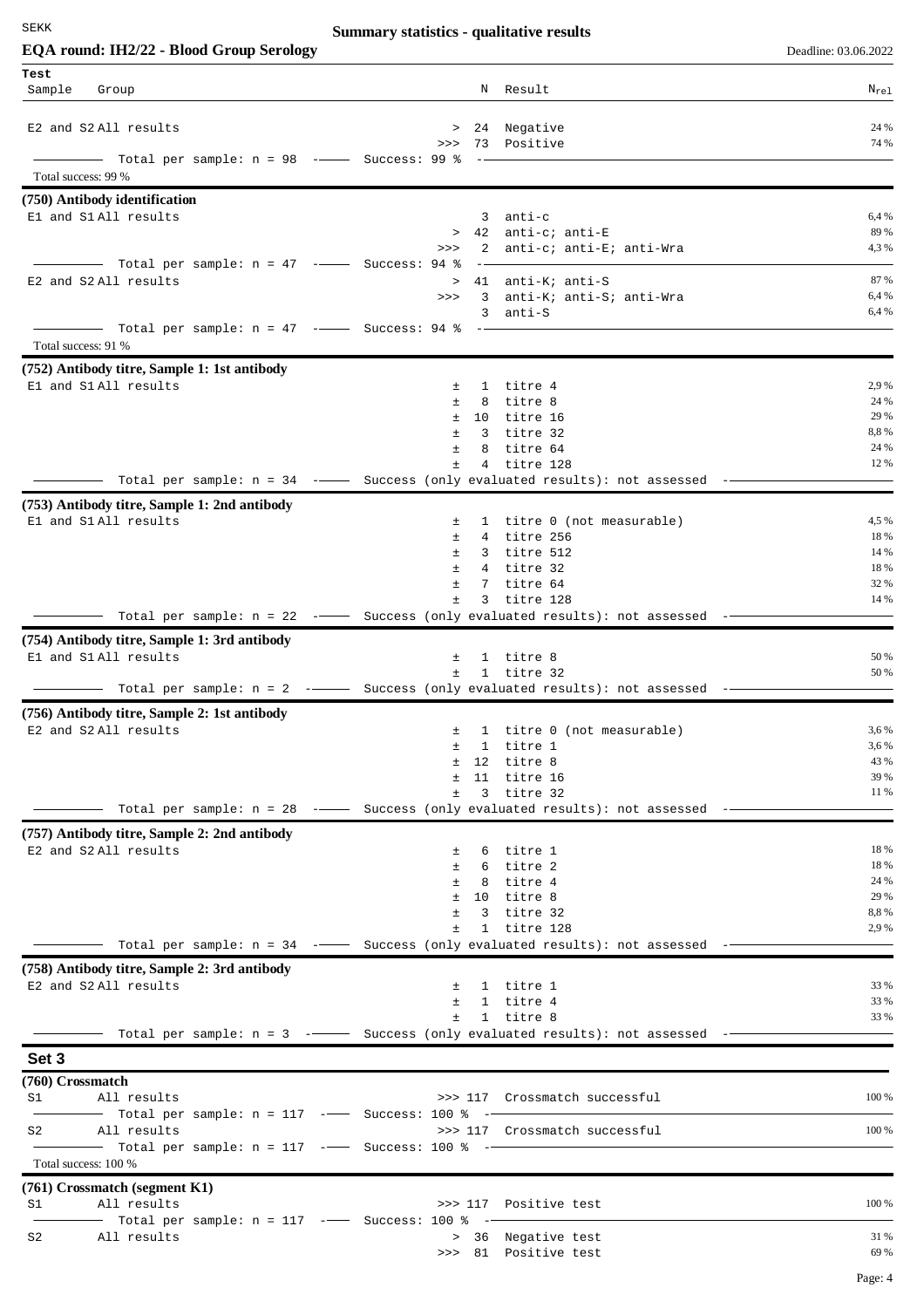# **Summary statistics - qualitative results**

| EQA round: IH2/22 - Blood Group Serology                                                                                                                                                                                                                                                                                                                                                                                                                                        |                  |                                                                              | Deadline: 03.06.2022 |
|---------------------------------------------------------------------------------------------------------------------------------------------------------------------------------------------------------------------------------------------------------------------------------------------------------------------------------------------------------------------------------------------------------------------------------------------------------------------------------|------------------|------------------------------------------------------------------------------|----------------------|
| Test                                                                                                                                                                                                                                                                                                                                                                                                                                                                            |                  |                                                                              |                      |
| Sample<br>Group                                                                                                                                                                                                                                                                                                                                                                                                                                                                 |                  | N Result                                                                     | $N_{re1}$            |
|                                                                                                                                                                                                                                                                                                                                                                                                                                                                                 |                  |                                                                              | 24 %                 |
| E2 and S2 All results                                                                                                                                                                                                                                                                                                                                                                                                                                                           | >>               | > 24 Negative<br>73 Positive                                                 | 74 %                 |
| Total per sample: n = 98 --- Success: 99 %                                                                                                                                                                                                                                                                                                                                                                                                                                      |                  |                                                                              |                      |
| Total success: 99 %                                                                                                                                                                                                                                                                                                                                                                                                                                                             |                  |                                                                              |                      |
| (750) Antibody identification                                                                                                                                                                                                                                                                                                                                                                                                                                                   |                  |                                                                              |                      |
| E1 and S1 All results                                                                                                                                                                                                                                                                                                                                                                                                                                                           |                  | $3$ anti-c                                                                   | 6,4 %                |
|                                                                                                                                                                                                                                                                                                                                                                                                                                                                                 | >>               | > 42 anti-c; anti-E<br>$2^{\circ}$<br>anti-c; anti-E; anti-Wra               | 89 %<br>4,3%         |
| - Total per sample: n = 47 --- Success: 94 %                                                                                                                                                                                                                                                                                                                                                                                                                                    |                  |                                                                              |                      |
| E2 and S2 All results                                                                                                                                                                                                                                                                                                                                                                                                                                                           |                  | > 41 anti-K; anti-S                                                          | 87 %                 |
|                                                                                                                                                                                                                                                                                                                                                                                                                                                                                 | >>               | $\overline{3}$<br>anti-K; anti-S; anti-Wra                                   | 6,4 %                |
| $\overline{\phantom{a}}$ $\overline{\phantom{a}}$ $\overline{\phantom{a}}$ $\overline{\phantom{a}}$ $\overline{\phantom{a}}$ $\overline{\phantom{a}}$ $\overline{\phantom{a}}$ $\overline{\phantom{a}}$ $\overline{\phantom{a}}$ $\overline{\phantom{a}}$ $\overline{\phantom{a}}$ $\overline{\phantom{a}}$ $\overline{\phantom{a}}$ $\overline{\phantom{a}}$ $\overline{\phantom{a}}$ $\overline{\phantom{a}}$ $\overline{\phantom{a}}$ $\overline{\phantom{a}}$ $\overline{\$ |                  | 3 anti-S                                                                     | 6,4 %                |
| Total success: 91 %                                                                                                                                                                                                                                                                                                                                                                                                                                                             |                  |                                                                              |                      |
| (752) Antibody titre, Sample 1: 1st antibody                                                                                                                                                                                                                                                                                                                                                                                                                                    |                  |                                                                              |                      |
| El and S1 All results                                                                                                                                                                                                                                                                                                                                                                                                                                                           | 土                | 1 titre 4                                                                    | 2,9 %                |
|                                                                                                                                                                                                                                                                                                                                                                                                                                                                                 | $\pm$            | 8 titre 8                                                                    | 24 %                 |
|                                                                                                                                                                                                                                                                                                                                                                                                                                                                                 | $\pm$<br>$\pm$   | 10 titre 16<br>3 titre 32                                                    | 29 %<br>8,8%         |
|                                                                                                                                                                                                                                                                                                                                                                                                                                                                                 | $\pm$<br>8       | titre 64                                                                     | 24 %                 |
|                                                                                                                                                                                                                                                                                                                                                                                                                                                                                 | Ŧ                | $4\overline{ }$<br>titre 128                                                 | 12 %                 |
| - Total per sample: n = 34 -- Success (only evaluated results): not assessed                                                                                                                                                                                                                                                                                                                                                                                                    |                  |                                                                              |                      |
| (753) Antibody titre, Sample 1: 2nd antibody                                                                                                                                                                                                                                                                                                                                                                                                                                    |                  |                                                                              |                      |
| El and S1 All results                                                                                                                                                                                                                                                                                                                                                                                                                                                           | $\pm$            | 1 titre 0 (not measurable)                                                   | 4,5 %                |
|                                                                                                                                                                                                                                                                                                                                                                                                                                                                                 | $\pm$<br>Ŧ.      | 4 titre 256<br>3 titre 512                                                   | 18 %<br>14 %         |
|                                                                                                                                                                                                                                                                                                                                                                                                                                                                                 | $\pm$            | 4 titre 32                                                                   | 18 %                 |
|                                                                                                                                                                                                                                                                                                                                                                                                                                                                                 | Ŧ.               | $7^{\circ}$<br>titre 64                                                      | 32 %                 |
|                                                                                                                                                                                                                                                                                                                                                                                                                                                                                 | Ŧ                | 3 titre 128                                                                  | 14 %                 |
| Total per sample: $n = 22$ -- Success (only evaluated results): not assessed                                                                                                                                                                                                                                                                                                                                                                                                    |                  |                                                                              |                      |
| (754) Antibody titre, Sample 1: 3rd antibody                                                                                                                                                                                                                                                                                                                                                                                                                                    |                  |                                                                              | 50 %                 |
| El and S1All results                                                                                                                                                                                                                                                                                                                                                                                                                                                            | 土<br>$\pm$       | 1 titre 8<br>1 titre 32                                                      | 50 %                 |
|                                                                                                                                                                                                                                                                                                                                                                                                                                                                                 |                  | Total per sample: $n = 2$ - Success (only evaluated results): not assessed - |                      |
| (756) Antibody titre, Sample 2: 1st antibody                                                                                                                                                                                                                                                                                                                                                                                                                                    |                  |                                                                              |                      |
| E2 and S2All results                                                                                                                                                                                                                                                                                                                                                                                                                                                            | 土                | 1 titre 0 (not measurable)                                                   | 3,6 %                |
|                                                                                                                                                                                                                                                                                                                                                                                                                                                                                 | Ŧ.               | 1 titre 1                                                                    | 3,6 %<br>43 %        |
|                                                                                                                                                                                                                                                                                                                                                                                                                                                                                 | $\pm$<br>12<br>Ŧ | titre 8<br>11 titre 16                                                       | 39 %                 |
|                                                                                                                                                                                                                                                                                                                                                                                                                                                                                 | $\pm$            | $3 -$<br>titre 32                                                            | 11 %                 |
| —— Total per sample: n = 28 -——— Success (only evaluated results): not assessed -—                                                                                                                                                                                                                                                                                                                                                                                              |                  |                                                                              |                      |
| (757) Antibody titre, Sample 2: 2nd antibody                                                                                                                                                                                                                                                                                                                                                                                                                                    |                  |                                                                              |                      |
| E2 and S2 All results                                                                                                                                                                                                                                                                                                                                                                                                                                                           | $\pm$            | 6 titre 1                                                                    | 18 %                 |
|                                                                                                                                                                                                                                                                                                                                                                                                                                                                                 | $\pm$<br>Ŧ.      | 6 titre 2<br>8 titre 4                                                       | 18 %<br>24 %         |
|                                                                                                                                                                                                                                                                                                                                                                                                                                                                                 | $\pm$            | 10 titre 8                                                                   | 29 %                 |
|                                                                                                                                                                                                                                                                                                                                                                                                                                                                                 | $\pm$            | 3 titre 32                                                                   | 8,8%                 |
|                                                                                                                                                                                                                                                                                                                                                                                                                                                                                 | Ŧ.               | 1 titre 128                                                                  | 2,9 %                |
|                                                                                                                                                                                                                                                                                                                                                                                                                                                                                 |                  | Total per sample: $n = 34$ -- Success (only evaluated results): not assessed |                      |
| (758) Antibody titre, Sample 2: 3rd antibody<br>E2 and S2 All results                                                                                                                                                                                                                                                                                                                                                                                                           | $\pm$            | 1 titre 1                                                                    | 33 %                 |
|                                                                                                                                                                                                                                                                                                                                                                                                                                                                                 | $\pm$            | 1 titre 4                                                                    | 33 %                 |
|                                                                                                                                                                                                                                                                                                                                                                                                                                                                                 | $\pm$            | 1 titre 8                                                                    | 33 %                 |
|                                                                                                                                                                                                                                                                                                                                                                                                                                                                                 |                  | Total per sample: $n = 3$ - Success (only evaluated results): not assessed - |                      |
| Set 3                                                                                                                                                                                                                                                                                                                                                                                                                                                                           |                  |                                                                              |                      |
| (760) Crossmatch                                                                                                                                                                                                                                                                                                                                                                                                                                                                |                  |                                                                              |                      |
| All results<br>S1                                                                                                                                                                                                                                                                                                                                                                                                                                                               |                  | >>> 117 Crossmatch successful                                                | 100 %                |
|                                                                                                                                                                                                                                                                                                                                                                                                                                                                                 |                  |                                                                              |                      |
| All results<br>S2                                                                                                                                                                                                                                                                                                                                                                                                                                                               |                  | >>> 117 Crossmatch successful                                                | 100 %                |
| Total success: 100 %                                                                                                                                                                                                                                                                                                                                                                                                                                                            |                  |                                                                              |                      |
| (761) Crossmatch (segment K1)                                                                                                                                                                                                                                                                                                                                                                                                                                                   |                  |                                                                              |                      |
| All results<br>S1                                                                                                                                                                                                                                                                                                                                                                                                                                                               |                  | >>> 117 Positive test                                                        | 100 %                |
| - Total per sample: n = 117 --- Success: 100 % --                                                                                                                                                                                                                                                                                                                                                                                                                               |                  |                                                                              |                      |
| S2<br>All results                                                                                                                                                                                                                                                                                                                                                                                                                                                               |                  | > 36 Negative test                                                           | 31 %<br>69 %         |
|                                                                                                                                                                                                                                                                                                                                                                                                                                                                                 |                  | >>> 81 Positive test                                                         |                      |